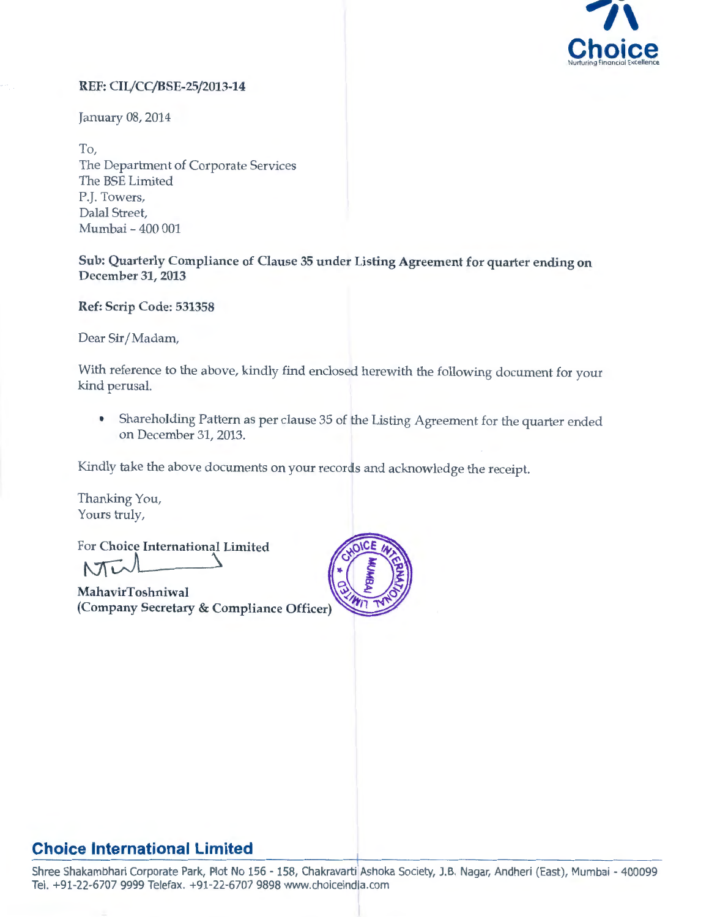

#### REF: CIL/CC/BSE-25/2013-14

January 08, 2014

To, The Department of Corporate Services The BSE Limited P.J. Towers, Dalal Street, Mumbai- 400 001

Sub: Quarterly Compliance of Clause 35 under Listing Agreement for quarter ending on December 31, 2013

Ref: Scrip Code: 531358

Dear Sir/ Madam,

With reference to the above, kindly find enclosed herewith the following document for your kind perusal.

• Shareholding Pattern as per clause 35 of the Listing Agreement for the quarter ended on December 31, 2013.

Kindly take the above documents on your records and acknowledge the receipt.

Thanking You, Yours truly,

For Choice International Limited  $t$ v $t$ 

MahavirToshniwal (Company Secretary & Compliance Officer)



### **Choice International Limited**

Shree Shakambhari Corporate Park, Plot No 156 - 158, Chakravarti Ashoka Society, J.B. Nagar, Andheri (East), Mumbai - 400099 Tel. +91-22-6707 9999 Telefax. +91-22-6707 9898 www.choiceindia.com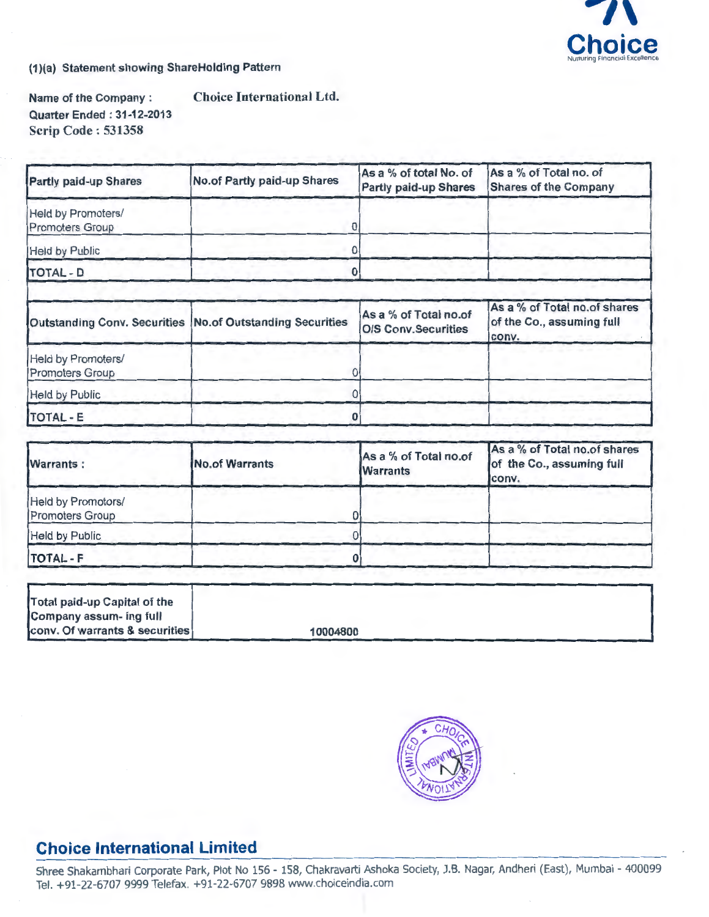

(1 )(a) Statement showing ShareHolding Pattern

Name of the Company : Choice International Ltd. Quarter Ended : 31-12-2013 Scrip Code: 531358

| Partly paid-up Shares                        | <b>No.of Partly paid-up Shares</b>                        | As a % of total No. of<br><b>Partly paid-up Shares</b> | As a % of Total no. of<br><b>Shares of the Company</b>             |
|----------------------------------------------|-----------------------------------------------------------|--------------------------------------------------------|--------------------------------------------------------------------|
| Held by Promoters/<br><b>Promoters Group</b> |                                                           |                                                        |                                                                    |
| <b>Held by Public</b>                        |                                                           |                                                        |                                                                    |
| <b>TOTAL - D</b>                             |                                                           |                                                        |                                                                    |
|                                              | Outstanding Conv. Securities No.of Outstanding Securities | As a % of Total no.of<br><b>O/S Conv.Securities</b>    | As a % of Total no.of shares<br>of the Co., assuming full<br>conv. |
| Held by Promoters/<br><b>Promoters Group</b> |                                                           |                                                        |                                                                    |
| <b>Held by Public</b>                        |                                                           |                                                        |                                                                    |
| <b>TOTAL - E</b>                             |                                                           |                                                        |                                                                    |

| <b>Warrants:</b>                      | No.of Warrants | As a % of Total no.of<br><b>Warrants</b> | As a % of Total no.of shares<br>of the Co., assuming full<br>conv. |  |  |
|---------------------------------------|----------------|------------------------------------------|--------------------------------------------------------------------|--|--|
| Held by Promotors/<br>Promoters Group |                |                                          |                                                                    |  |  |
| Held by Public                        |                |                                          |                                                                    |  |  |
| <b>TOTAL - F</b>                      |                |                                          |                                                                    |  |  |

| Total paid-up Capital of the              |          |
|-------------------------------------------|----------|
| Company assum- ing full                   |          |
| <b>Conv. Of warrants &amp; securities</b> | 10004800 |



## **Choice International Limited**

Shree Shakambhari Corporate Park, Plot No 156 - 158, Chakravarti Ashoka Society, J.B. Nagar, Andheri (East), Mumbai - 400099 Tel. +91-22-6707 9999 Telefax. +91-22-6707 9898 www.choiceindia.com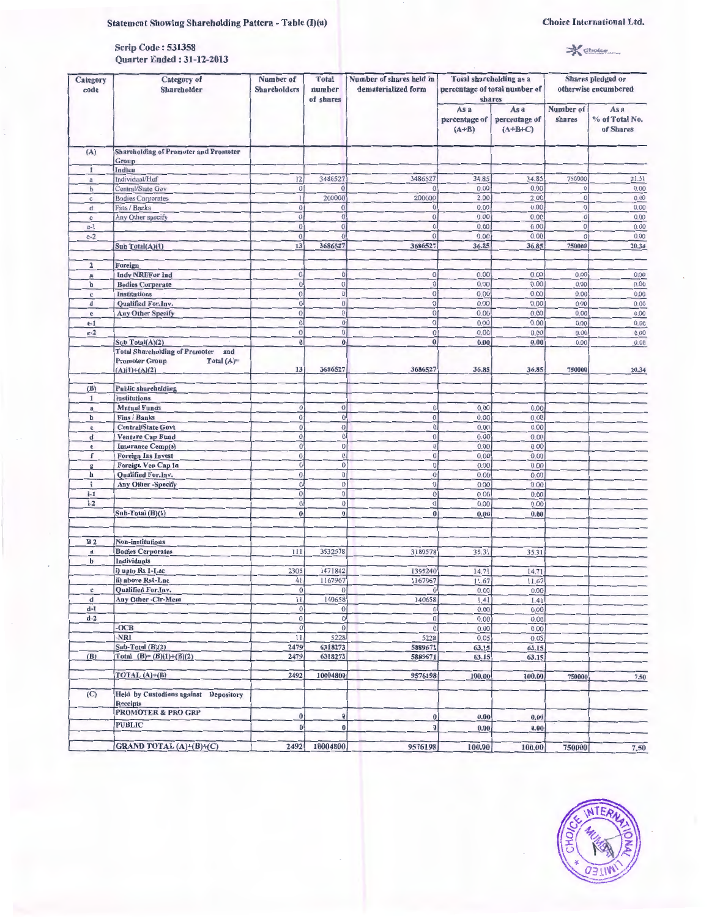#### Statement Showing Shareholding Pattern - Table (I)(a)

| <b>Scrip Code: 531358</b> |                                  |
|---------------------------|----------------------------------|
|                           | <b>Ouarter Ended: 31-12-2013</b> |

 $*$   $S$  enoice

| Category<br>code  | Category of<br><b>Shareholder</b>                                                                         | Number of<br><b>Shareholders</b> | <b>Total</b><br>number<br>of shares | Number of shares held in<br>dematerialized form | <b>Total shareholding as a</b><br>shares | percentage of total number of      | Shares pledged or<br>otherwise encumbered |                                     |
|-------------------|-----------------------------------------------------------------------------------------------------------|----------------------------------|-------------------------------------|-------------------------------------------------|------------------------------------------|------------------------------------|-------------------------------------------|-------------------------------------|
|                   |                                                                                                           |                                  |                                     |                                                 | As a<br>percentage of<br>$(A+B)$         | As a<br>percentage of<br>$(A+B+C)$ | Number of<br>shares                       | As a<br>% of Total No.<br>of Shares |
| (A)               | <b>Shareholding of Promoter and Promoter</b>                                                              |                                  |                                     |                                                 |                                          |                                    |                                           |                                     |
|                   | Group<br>Indian                                                                                           |                                  |                                     |                                                 |                                          |                                    |                                           |                                     |
| 1<br>$\mathbf{a}$ | Individual/Huf                                                                                            | 12                               | 3486527                             | 3486527                                         | 34.85                                    | 34.85                              | 750000                                    | 21.51                               |
| $\mathbf b$       | Central/State Gov                                                                                         | $\theta$                         | $\mathbf{O}$                        |                                                 | 0.00                                     | 0.00                               | $\bf{0}$                                  | 0.00                                |
| $\mathbb{C}$      | <b>Bodies Corporates</b>                                                                                  | $\mathbf{1}$                     | 200000                              | 200000                                          | 2.00                                     | 2.00                               | $\overline{0}$                            | 0.00                                |
| d                 | Fins / Banks                                                                                              | $\bf{0}$                         | $\overline{0}$                      | $\overline{0}$                                  | 0.00                                     | 0.00                               | 0                                         | 0.00                                |
| $\mathbf e$       | Any Other specify                                                                                         | $\overline{0}$                   | $\overline{0}$                      | $\vert 0 \vert$                                 | 0.00                                     | 0.00                               | $\theta$                                  | 0.00                                |
| $e-1$             |                                                                                                           | $\bf{0}$                         | $\overline{0}$                      | $\theta$                                        | 0.00                                     | 0.00                               | $\vert 0 \vert$                           | 0.00                                |
| $e-2$             |                                                                                                           | $\overline{0}$                   | $\overline{0}$                      | $\mathbf{0}$                                    | 0.00                                     | 0.00                               | $\theta$                                  | 0.00                                |
|                   | Sub Total(A)(1)                                                                                           | 13                               | 3686527                             | 3686527                                         | 36.85                                    | 36.85                              | 750000                                    | 20.34                               |
| $\overline{2}$    | Foreign                                                                                                   |                                  |                                     |                                                 |                                          |                                    |                                           |                                     |
| $\bf{a}$          | <b>Indy NRI/For Ind</b>                                                                                   | $\mathbf{0}$                     | $\vert 0 \vert$                     | $\overline{0}$                                  | 0.00                                     | 0.00                               | 0.00                                      | 0.00                                |
| b                 | <b>Bodies Corporate</b>                                                                                   | $\bf{0}$                         | $\circ$                             | $\mathbf{0}$                                    | 0.00                                     | 0.00                               | 0.00                                      | 0.00                                |
| c                 | <b>Institutions</b>                                                                                       | $\mathbf{0}$                     | $\bf 0$                             | $\bf 0$                                         | 0.00                                     | 0.00                               | 0.00                                      | 0,00                                |
| d                 | Qualified For.Inv.                                                                                        | $\bf{0}$                         | 0                                   | $\theta$                                        | 0.00                                     | 0.00                               | 0.00                                      | 0.00                                |
| e                 | <b>Any Other Specify</b>                                                                                  | $\mathbf{0}$<br>$\mathbf{0}$     | $\overline{0}$<br>$\overline{0}$    | $\theta$                                        | 0.00                                     | 0,00                               | 0.00                                      | 0,00                                |
| $e-1$<br>$e-2$    |                                                                                                           | 0                                | $\vert 0 \vert$                     | $\bf 0$<br>$\overline{0}$                       | 0.00<br>0.00                             | 0.00                               | 0.00                                      | 0.00                                |
|                   | Sub Total(A)(2)                                                                                           | $\boldsymbol{0}$                 | $\bf{0}$                            | $\boldsymbol{0}$                                | 0.00                                     | 0.00<br>0.00                       | 0.00<br>0.00                              | 0.00<br>0.00                        |
|                   | <b>Total Shareholding of Promoter</b><br>and<br><b>Promoter Group</b><br>Total $(A)$ =<br>$(A)(1)+(A)(2)$ | 13                               | 3686527                             | 3686527                                         | 36.85                                    | 36.85                              | 750000                                    | 20.34                               |
| (B)               | <b>Public shareholding</b>                                                                                |                                  |                                     |                                                 |                                          |                                    |                                           |                                     |
| 1                 | <b>Institutions</b>                                                                                       |                                  |                                     |                                                 |                                          |                                    |                                           |                                     |
| $\mathbf a$       | <b>Mutual Funds</b>                                                                                       | $\overline{0}$                   | $\mathbf{0}$                        | $\bf{0}$                                        | 0.00                                     | 0.00                               |                                           |                                     |
| b                 | <b>Fins / Banks</b>                                                                                       | $\vert 0 \vert$                  | $\vert 0 \vert$                     | $\overline{0}$                                  | 0.00                                     | 0.00                               |                                           |                                     |
| $\mathbf c$       | <b>Central/State Govt</b>                                                                                 | $\Omega$                         | 0                                   | $\pmb{0}$                                       | 0.00                                     | 0.00                               |                                           |                                     |
| d                 | Venture Cap Fund                                                                                          | $\mathbf{0}$                     | 0                                   | $\overline{0}$                                  | 0.00                                     | 0.00                               |                                           |                                     |
| e                 | <b>Insurance Comp(s)</b>                                                                                  | $\overline{0}$                   | $\overline{0}$                      | $\overline{0}$                                  | 0.00                                     | 0.00                               |                                           |                                     |
| $\mathbf{f}$      | <b>Foreign Ins Invest</b>                                                                                 | $\mathbf{0}$                     | 0                                   | $\overline{0}$                                  | 0.00                                     | 0.00                               |                                           |                                     |
| $\mathbf{g}$<br>h | Foreign Ven Cap In<br>Qualified For.Inv.                                                                  | $\bf{0}$<br>$\overline{0}$       | 0 <br>$\overline{0}$                | 0                                               | 0.00                                     | 0.00                               |                                           |                                     |
| i.                | Any Other-Specify                                                                                         | $\overline{0}$                   | 0                                   | $\overline{0}$<br>$\boldsymbol{0}$              | 0.00<br>0.00                             | 0.00<br>0.00                       |                                           |                                     |
| $i-1$             |                                                                                                           | $\theta$                         | $\boldsymbol{0}$                    | $\mathbf{O}$                                    | 0.00                                     | 0.00                               |                                           |                                     |
| $i-2$             |                                                                                                           | $\overline{0}$                   | $\mathbf{0}$                        | $\mathbf 0$                                     | 0.00                                     | 0.00                               |                                           |                                     |
|                   | $S1$ Divided $(S)(1)$                                                                                     | $\mathbf{0}$                     | 0                                   | $\bf{0}$                                        | 0.00                                     | 0.00                               |                                           |                                     |
|                   |                                                                                                           |                                  |                                     |                                                 |                                          |                                    |                                           |                                     |
| B <sub>2</sub>    | <b>Non-institutions</b>                                                                                   |                                  |                                     |                                                 |                                          |                                    |                                           |                                     |
| $\bf{a}$          | <b>Bodies Corporates</b>                                                                                  | 111                              | 3532578                             | 3180578                                         | 35.31                                    | 35.31                              |                                           |                                     |
| b                 | Individuals                                                                                               |                                  |                                     |                                                 |                                          |                                    |                                           |                                     |
|                   | i) upto Rs 1-Lac                                                                                          | 2305                             | 1471842                             | 1395240                                         | 14.71                                    | 14.71                              |                                           |                                     |
|                   | ii) above Rs1-Lac                                                                                         | 41                               | 1167967                             | 1167967                                         | 11.67                                    | 11.67                              |                                           |                                     |
| c                 | Qualified For. Inv.                                                                                       | 0                                | $\Omega$                            | $\overline{0}$                                  | 0.00                                     | 0.00                               |                                           |                                     |
| d                 | Any Other-Clr-Mem                                                                                         | 11                               | 140658                              | 140658                                          | 1.41                                     | 1.41                               |                                           |                                     |
| $d-1$<br>$d-2$    |                                                                                                           | $\overline{0}$<br>$\circ$        | 0 <br>$\overline{0}$                | 0                                               | 0.00                                     | 0.00                               |                                           |                                     |
|                   | $-OCB$                                                                                                    | 0                                | $\overline{0}$                      | $\boldsymbol{0}$<br>$\mathbf 0$                 | 0.00<br>0.00                             | 0.00<br>0.00                       |                                           |                                     |
|                   | -NRI                                                                                                      | 11                               | 5228                                | 5228                                            | 0.05                                     | 0.05                               |                                           |                                     |
|                   | Sub-Total $(B)(2)$                                                                                        | 2479                             | 6318273                             | 5889671                                         | 63.15                                    | 63.15                              |                                           |                                     |
| (B)               | Total (B)= (B)(1)+(B)(2)                                                                                  | 2479                             | 6318273                             | 5889671                                         | 63.15                                    | 63.15                              |                                           |                                     |
|                   | TOTAL $(A)+(B)$                                                                                           | 2492                             | 10004800                            | 9576198                                         | 100.00                                   | 100.00                             | 750000                                    | 7.50                                |
| (C)               | Held by Custodians against Depository<br><b>Receipts</b>                                                  |                                  |                                     |                                                 |                                          |                                    |                                           |                                     |
|                   | <b>PROMOTER &amp; PRO GRP</b>                                                                             | $\bf{0}$                         | $\vert 0 \vert$                     |                                                 |                                          |                                    |                                           |                                     |
|                   | <b>PUBLIC</b>                                                                                             | 0                                | $\bf{0}$                            | $\pmb{0}$<br>$\bf{0}$                           | 0.00<br>0.00                             | 0.00                               |                                           |                                     |
|                   |                                                                                                           |                                  |                                     |                                                 |                                          | 0.00                               |                                           |                                     |
|                   | GRAND TOTAL (A)+(B)+(C)                                                                                   | 2492                             | 10004800                            | 9576198                                         | 100.00                                   | 100.00                             | 750000                                    | 7.50                                |

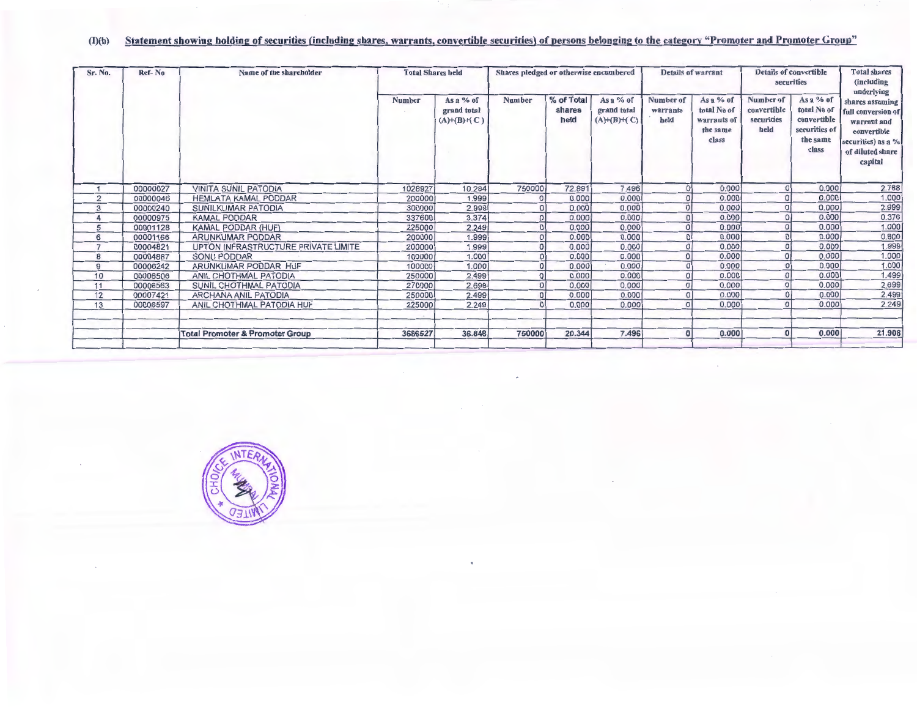#### (l)(b) Statement showing holding of securities (including shares, warrants, convertible securities) of persons belonging to the category "Promoter and Promoter Group"

| Sr. No.        | Ref-No   | Name of the shareholder                    | <b>Total Shares held</b> |                                                   | Shares pledged or otherwise encumbered |                              | <b>Details of warrant</b>                         |                               | <b>Details of convertible</b><br>securities                  |                                                | <b>Total shares</b><br>(including<br>underlying                               |                                                                                                                            |
|----------------|----------|--------------------------------------------|--------------------------|---------------------------------------------------|----------------------------------------|------------------------------|---------------------------------------------------|-------------------------------|--------------------------------------------------------------|------------------------------------------------|-------------------------------------------------------------------------------|----------------------------------------------------------------------------------------------------------------------------|
|                |          |                                            | Number                   | As a % of<br>grand total<br>$(A)$ + $(B)$ + $(C)$ | <b>Number</b>                          | % of Total<br>shares<br>held | As a % of<br>grand total<br>$(A)$ + $(B)$ + $(C)$ | Number of<br>warrants<br>held | As a % of<br>total No of<br>warrants of<br>the same<br>class | Number of<br>convertible<br>securities<br>held | As a % of<br>total No of<br>convertible<br>securities of<br>the same<br>class | shares assuming<br>full conversion of<br>warrant and<br>convertible<br>securities) as a $%$<br>of diluted share<br>capital |
|                | 00000027 | <b>VINITA SUNIL PATODIA</b>                | 1028927                  | 10.284                                            | 750000                                 | 72.891                       | 7.496                                             | $\Omega$                      | 0.000                                                        | $\Omega$                                       | 0.000                                                                         | 2.788                                                                                                                      |
| $\overline{2}$ | 00000046 | <b>HEMLATA KAMAL PODDAR</b>                | 200000                   | 1.999                                             | $\overline{0}$                         | 0.000                        | 0.000                                             | $\Omega$                      | 0.000                                                        | 0                                              | 0.000                                                                         | 1.000                                                                                                                      |
| 3              | 00000240 | <b>SUNILKUMAR PATODIA</b>                  | 300000                   | 2.999                                             | $\Omega$                               | 0.000                        | 0.000                                             | $\Omega$                      | 0.000                                                        |                                                | 0.000                                                                         | 2.999                                                                                                                      |
| 4              | 00000975 | <b>KAMAL PODDAR</b>                        | 337600                   | 3.374                                             | $\mathbf 0$                            | 0.000                        | 0.000                                             | 0                             | 0.000                                                        | $\overline{0}$                                 | 0.000                                                                         | 0.376                                                                                                                      |
| 5              | 00001128 | <b>KAMAL PODDAR (HUF)</b>                  | 225000                   | 2.249                                             | $\Omega$                               | 0.000                        | 0.000                                             | 0                             | 0.000                                                        | $\Omega$                                       | 0.000                                                                         | 1.000                                                                                                                      |
| 6              | 00001166 | <b>ARUNKUMAR PODDAR</b>                    | 200000                   | 1.999                                             | $\Omega$                               | 0.000                        | 0.000                                             | $\Omega$                      | 0.000                                                        | $\Omega$                                       | 0.000                                                                         | 0.800                                                                                                                      |
| $\overline{7}$ | 00004821 | UPTON INFRASTRUCTURE PRIVATE LIMITE        | 200000                   | 1.999                                             | $\Omega$                               | 0.000                        | 0.000                                             | $\Omega$                      | 0.000                                                        | $\Omega$                                       | 0.000                                                                         | 1.999                                                                                                                      |
| 8              | 00004887 | SONU PODDAR                                | 100000                   | 1.000                                             | $\Omega$                               | 0.000                        | 0.000                                             | $\Omega$                      | 0.000                                                        | $\overline{0}$                                 | 0.000                                                                         | 1.000                                                                                                                      |
| 9              | 00006242 | ARUNKUMAR PODDAR HUF                       | 100000                   | 1.000                                             | $\Omega$                               | 0.000                        | 0.000                                             | $\overline{0}$                | 0.000                                                        | $\Omega$                                       | 0.000                                                                         | 1.000                                                                                                                      |
| 10             | 00006506 | ANIL CHOTHMAL PATODIA                      | 250000                   | 2.499                                             | $\circ$                                | 0.000                        | 0.000                                             | $\Omega$                      | 0.000                                                        | $\Omega$                                       | 0.000                                                                         | 1.499                                                                                                                      |
| 11             | 00006563 | SUNIL CHOTHMAL PATODIA                     | 270000                   | 2.699                                             | $\overline{0}$                         | 0.000                        | 0.000                                             |                               | 0.000                                                        | 0                                              | 0.000                                                                         | 2.699                                                                                                                      |
| 12             | 00007421 | <b>ARCHANA ANIL PATODIA</b>                | 250000                   | 2.499                                             | $\Omega$                               | 0.000                        | 0.000                                             |                               | 0.000                                                        | $\overline{O}$                                 | 0.000                                                                         | 2.499                                                                                                                      |
| 13             | 00006597 | ANIL CHOTHMAL PATODIA HUF                  | 225000                   | 2.249                                             | $\Omega$                               | 0.000                        | 0.000                                             |                               | 0,000                                                        | $\Omega$                                       | 0.000                                                                         | 2.249                                                                                                                      |
|                |          | <b>Total Promoter &amp; Promoter Group</b> | 3686527                  | 36.848                                            | 750000                                 | 20.344                       | 7.496                                             | $\Omega$                      | 0.000                                                        | 0                                              | 0.000                                                                         | 21.908                                                                                                                     |

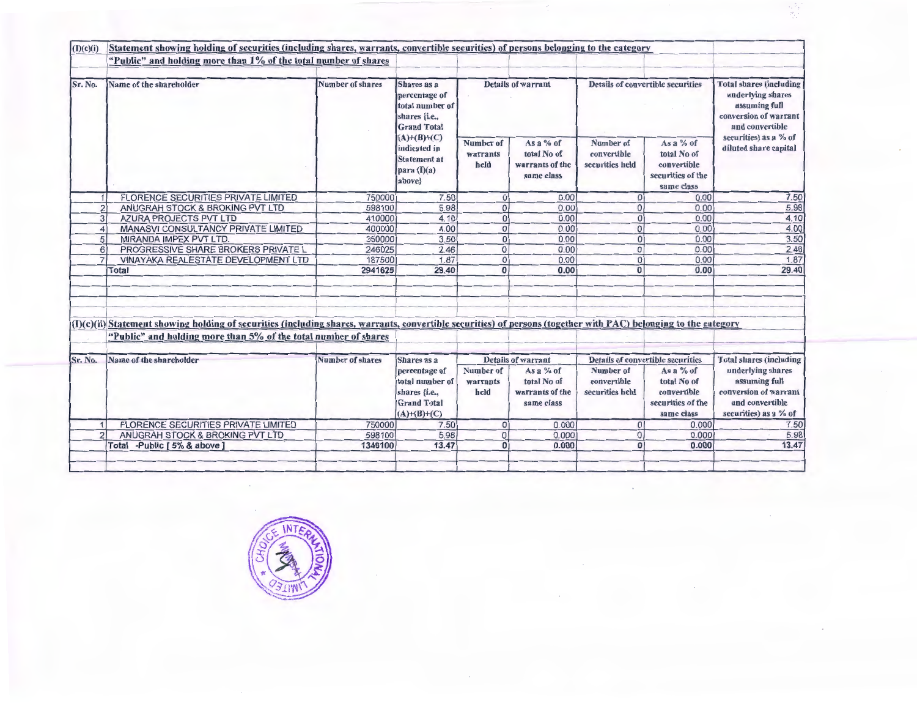| (I)(c)(i)      | Statement showing holding of securities (including shares, warrants, convertible securities) of persons belonging to the category                                                                                                  |                         |                                                                                          |                               |                                                             |                                             |                                                                                                                  |                                                                                                         |
|----------------|------------------------------------------------------------------------------------------------------------------------------------------------------------------------------------------------------------------------------------|-------------------------|------------------------------------------------------------------------------------------|-------------------------------|-------------------------------------------------------------|---------------------------------------------|------------------------------------------------------------------------------------------------------------------|---------------------------------------------------------------------------------------------------------|
|                | "Public" and holding more than 1% of the total number of shares                                                                                                                                                                    |                         |                                                                                          |                               |                                                             |                                             |                                                                                                                  |                                                                                                         |
| Sr. No.        | Name of the shareholder                                                                                                                                                                                                            | <b>Number of shares</b> | Shares as a<br>percentage of<br>total number of<br>shares {i.e.,<br><b>Grand Total</b>   | <b>Details of warrant</b>     |                                                             | <b>Details of convertible securities</b>    | <b>Total shares (including</b><br>underlying shares<br>assuming full<br>conversion of warrant<br>and convertible |                                                                                                         |
|                |                                                                                                                                                                                                                                    |                         | $(A)+(B)+(C)$<br>indicated in<br><b>Statement at</b><br>para (I)(a)<br>above}            | Number of<br>warrants<br>held | As a $%$ of<br>total No of<br>warrants of the<br>same class | Number of<br>convertible<br>securities held | As a $%$ of<br>total No of<br>convertible<br>securities of the<br>same class                                     | securities) as a % of<br>diluted share capital                                                          |
|                | <b>FLORENCE SECURITIES PRIVATE LIMITED</b>                                                                                                                                                                                         | 750000                  | 7.50                                                                                     | $\overline{0}$                | 0.00                                                        | $\overline{0}$                              | 0.00                                                                                                             | 7.50                                                                                                    |
| $\overline{2}$ | ANUGRAH STOCK & BROKING PVT LTD                                                                                                                                                                                                    | 598100                  | 5.98                                                                                     | $\overline{0}$                | 0.00                                                        | 0                                           | 0.00                                                                                                             | 5.98                                                                                                    |
| 3              | AZURA PROJECTS PVT LTD                                                                                                                                                                                                             | 410000                  | 4.10                                                                                     | $\overline{0}$                | 0.00                                                        | $\Omega$                                    | 0.00                                                                                                             | 4.10                                                                                                    |
| 4              | MANASVI CONSULTANCY PRIVATE LIMITED                                                                                                                                                                                                | 400000                  | 4.00                                                                                     | $\overline{0}$                | 0.00                                                        | $\overline{0}$                              | 0.00                                                                                                             | 4.00                                                                                                    |
| 5              | MIRANDA IMPEX PVT LTD.                                                                                                                                                                                                             | 350000                  | 3.50                                                                                     | $\overline{0}$                | 0.00                                                        | $\Omega$                                    | 0.00                                                                                                             | 3.50                                                                                                    |
| 6              | PROGRESSIVE SHARE BROKERS PRIVATE L                                                                                                                                                                                                | 246025                  | 2.46                                                                                     | $\overline{0}$                | 0.00                                                        | $\Omega$                                    | 0.00                                                                                                             | 2.46                                                                                                    |
|                | VINAYAKA REALESTATE DEVELOPMENT LTD                                                                                                                                                                                                | 187500                  | 1.87                                                                                     | $\overline{0}$                | 0.00                                                        | $\Omega$                                    | 0.001                                                                                                            | 1.87                                                                                                    |
|                | <b>Total</b>                                                                                                                                                                                                                       | 2941625                 | 29.40                                                                                    | $\overline{0}$                | 0.00                                                        | $\mathbf{0}$                                | 0.00                                                                                                             | 29.40                                                                                                   |
|                | (I)(c)(ii)Statement showing holding of securities (including shares, warrants, convertible securities) of persons (together with PAC) belonging to the category<br>"Public" and holding more than 5% of the total number of shares |                         |                                                                                          |                               |                                                             |                                             |                                                                                                                  |                                                                                                         |
| Sr. No.        | Name of the shareholder                                                                                                                                                                                                            | Number of shares        | Shares as a                                                                              |                               | <b>Details of warrant</b>                                   |                                             | <b>Details of convertible securities</b>                                                                         | <b>Total shares (including</b>                                                                          |
|                |                                                                                                                                                                                                                                    |                         | percentage of<br>total number of<br>shares {i.e.,<br><b>Grand Total</b><br>$(A)+(B)+(C)$ | Number of<br>warrants<br>held | As a % of<br>total No of<br>warrants of the<br>same class   | Number of<br>convertible<br>securities held | As a $%$ of<br>total No of<br>convertible<br>securities of the<br>same class                                     | underlying shares<br>assuming full<br>conversion of warrant<br>and convertible<br>securities) as a % of |
| 1              | <b>FLORENCE SECURITIES PRIVATE LIMITED</b>                                                                                                                                                                                         | 750000                  | 7.50                                                                                     | $\Omega$                      | 0.000                                                       | $\Omega$                                    | 0.000                                                                                                            | 7.50                                                                                                    |
| $\overline{2}$ | ANUGRAH STOCK & BROKING PVT LTD                                                                                                                                                                                                    | 598100                  | 5.98                                                                                     | $\mathbf{0}$                  | 0.000                                                       | $\Omega$                                    | 0.000                                                                                                            | 5.98                                                                                                    |
|                | Total -Public [5% & above]                                                                                                                                                                                                         | 1348100                 | 13.47                                                                                    | $\overline{0}$                | 0.000                                                       | $\mathbf{0}$                                | 0.000                                                                                                            | 13.47                                                                                                   |

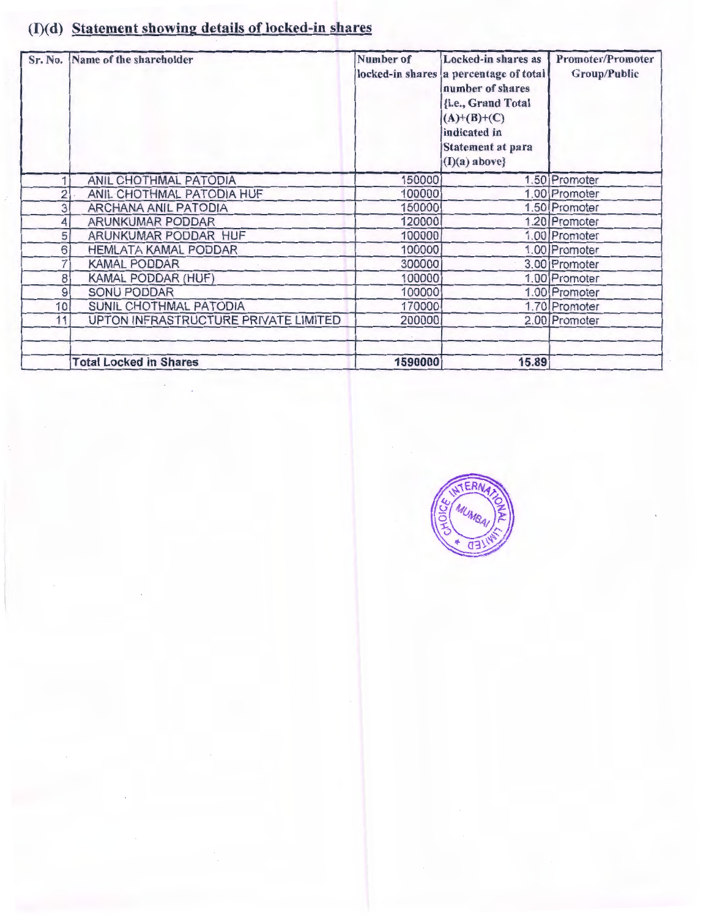# (I)(d) Statement showing details of locked-in shares

| Sr. No.        | Name of the shareholder              | Number of | Locked-in shares as<br>locked-in shares a percentage of total<br>number of shares<br>{i.e., Grand Total<br>$(A)+(B)+(C)$<br>indicated in<br><b>Statement at para</b><br>$(I)(a)$ above} | <b>Promoter/Promoter</b><br><b>Group/Public</b> |  |
|----------------|--------------------------------------|-----------|-----------------------------------------------------------------------------------------------------------------------------------------------------------------------------------------|-------------------------------------------------|--|
|                | ANIL CHOTHMAL PATODIA                | 150000    |                                                                                                                                                                                         | 1.50 Promoter                                   |  |
| $\overline{2}$ | ANIL CHOTHMAL PATODIA HUF            | 100000    |                                                                                                                                                                                         | 1.00 Promoter                                   |  |
| 3              | <b>ARCHANA ANIL PATODIA</b>          | 150000    |                                                                                                                                                                                         | 1.50 Promoter                                   |  |
| 4              | ARUNKUMAR PODDAR                     | 120000    |                                                                                                                                                                                         | 1.20 Promoter                                   |  |
| 5              | ARUNKUMAR PODDAR HUF                 | 100000    |                                                                                                                                                                                         | 1.00 Promoter                                   |  |
| 6              | <b>HEMLATA KAMAL PODDAR</b>          | 100000    |                                                                                                                                                                                         | 1.00 Promoter                                   |  |
| 7              | <b>KAMAL PODDAR</b>                  | 300000    |                                                                                                                                                                                         | 3.00 Promoter                                   |  |
| 8              | KAMAL PODDAR (HUF)                   | 100000    |                                                                                                                                                                                         | 1.00 Promoter                                   |  |
| 9              | <b>SONU PODDAR</b>                   | 100000    |                                                                                                                                                                                         | 1.00 Promoter                                   |  |
| 10             | SUNIL CHOTHMAL PATODIA               | 170000    |                                                                                                                                                                                         | 1.70 Promoter                                   |  |
| 11             | UPTON INFRASTRUCTURE PRIVATE LIMITED | 200000    |                                                                                                                                                                                         | 2.00 Promoter                                   |  |
|                | <b>Total Locked in Shares</b>        | 1590000   | 15.89                                                                                                                                                                                   |                                                 |  |